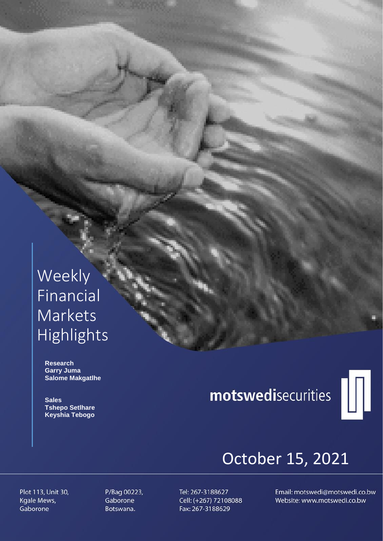## Weekly Financial **Markets** Highlights

 **Research Garry Juma Salome Makgatlhe**

 **Sales Tshepo Setlhare Keyshia Tebogo**

# motswedisecurities



## October 15, 2021

Plot 113, Unit 30, Kgale Mews, Gaborone

P/Bag 00223, Gaborone Botswana.

Tel: 267-3188627 Cell: (+267) 72108088 Fax: 267-3188629

Email: motswedi@motswedi.co.bw Website: www.motswedi.co.bw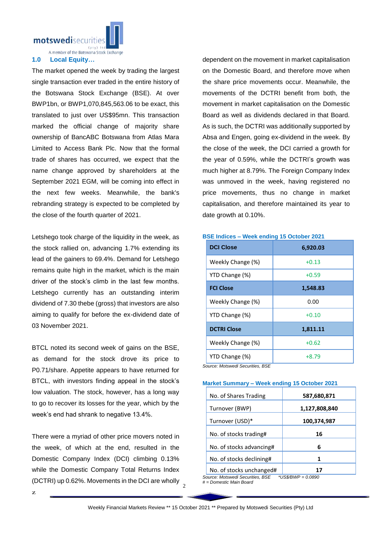motswedisecuritie

A member of the Botswana Stock Exchange

#### **1.0 Local Equity…**

The market opened the week by trading the largest single transaction ever traded in the entire history of the Botswana Stock Exchange (BSE). At over BWP1bn, or BWP1,070,845,563.06 to be exact, this translated to just over US\$95mn. This transaction marked the official change of majority share ownership of BancABC Botswana from Atlas Mara Limited to Access Bank Plc. Now that the formal trade of shares has occurred, we expect that the name change approved by shareholders at the September 2021 EGM, will be coming into effect in the next few weeks. Meanwhile, the bank's rebranding strategy is expected to be completed by the close of the fourth quarter of 2021.

Letshego took charge of the liquidity in the week, as the stock rallied on, advancing 1.7% extending its lead of the gainers to 69.4%. Demand for Letshego remains quite high in the market, which is the main driver of the stock's climb in the last few months. Letshego currently has an outstanding interim dividend of 7.30 thebe (gross) that investors are also aiming to qualify for before the ex-dividend date of 03 November 2021.

BTCL noted its second week of gains on the BSE, as demand for the stock drove its price to P0.71/share. Appetite appears to have returned for BTCL, with investors finding appeal in the stock's low valuation. The stock, however, has a long way to go to recover its losses for the year, which by the week's end had shrank to negative 13.4%.

(DCTRI) up 0.62%. Movements in the DCI are wholly  $\frac{2}{2}$ There were a myriad of other price movers noted in the week, of which at the end, resulted in the Domestic Company Index (DCI) climbing 0.13% while the Domestic Company Total Returns Index

dependent on the movement in market capitalisation on the Domestic Board, and therefore move when the share price movements occur. Meanwhile, the movements of the DCTRI benefit from both, the movement in market capitalisation on the Domestic Board as well as dividends declared in that Board. As is such, the DCTRI was additionally supported by Absa and Engen, going ex-dividend in the week. By the close of the week, the DCI carried a growth for the year of 0.59%, while the DCTRI's growth was much higher at 8.79%. The Foreign Company Index was unmoved in the week, having registered no price movements, thus no change in market capitalisation, and therefore maintained its year to date growth at 0.10%.

### **DCI Close 6,920.03** Weekly Change  $(\%)$   $+0.13$ YTD Change  $(\%)$   $+0.59$ **FCI Close 1,548.83** Weekly Change (%) 0.00 YTD Change  $(\%)$   $+0.10$ **DCTRI Close 1.811.11** Weekly Change  $(\%)$   $|$   $+0.62$

#### **BSE Indices – Week ending 15 October 2021**

*Source: Motswedi Securities, BSE*

#### **Market Summary – Week ending 15 October 2021**

YTD Change  $(\%)$   $+8.79$ 

| No. of Shares Trading    | 587,680,871   |
|--------------------------|---------------|
| Turnover (BWP)           | 1,127,808,840 |
| Turnover (USD)*          | 100,374,987   |
| No. of stocks trading#   | 16            |
| No. of stocks advancing# | 6             |
| No. of stocks declining# | 1             |
| No. of stocks unchanged# |               |

*Source: Motswedi Securities, BSE \*US\$/BWP = 0.0890 # = Domestic Main Board*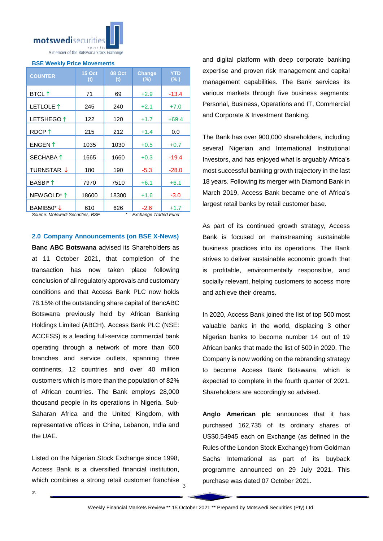

#### **BSE Weekly Price Movements**

| <b>COUNTER</b>         | <b>15 Oct</b><br>(t) | 08 Oct<br>(t) | Change<br>(%) | <b>YTD</b><br>$(\% )$ |
|------------------------|----------------------|---------------|---------------|-----------------------|
| <b>BTCL</b> 1          | 71                   | 69            | $+2.9$        | $-13.4$               |
| LETLOLE 1              | 245                  | 240           | $+2.1$        | $+7.0$                |
| LETSHEGO <sup>1</sup>  | 122                  | 120           | $+1.7$        | $+69.4$               |
| RDCP <sup>1</sup>      | 215                  | 212           | $+1.4$        | 0.0                   |
| ENGEN ↑                | 1035                 | 1030          | $+0.5$        | $+0.7$                |
| SECHABA 1              | 1665                 | 1660          | $+0.3$        | $-19.4$               |
| TURNSTAR ↓             | 180                  | 190           | $-5.3$        | $-28.0$               |
| BASBI* 1               | 7970                 | 7510          | $+6.1$        | $+6.1$                |
| NEWGOLD <sup>*</sup> 1 | 18600                | 18300         | $+1.6$        | $-3.0$                |
| BAMIB50*↓              | 610                  | 626           | $-2.6$        | $+1.7$                |

*Source: Motswedi Securities, BSE \* = Exchange Traded Fund*

#### **2.0 Company Announcements (on BSE X-News)**

**Banc ABC Botswana** advised its Shareholders as at 11 October 2021, that completion of the transaction has now taken place following conclusion of all regulatory approvals and customary conditions and that Access Bank PLC now holds 78.15% of the outstanding share capital of BancABC Botswana previously held by African Banking Holdings Limited (ABCH). Access Bank PLC (NSE: ACCESS) is a leading full-service commercial bank operating through a network of more than 600 branches and service outlets, spanning three continents, 12 countries and over 40 million customers which is more than the population of 82% of African countries. The Bank employs 28,000 thousand people in its operations in Nigeria, Sub-Saharan Africa and the United Kingdom, with representative offices in China, Lebanon, India and the UAE.

which combines a strong retail customer franchise 3 Listed on the Nigerian Stock Exchange since 1998, Access Bank is a diversified financial institution,

and digital platform with deep corporate banking expertise and proven risk management and capital management capabilities. The Bank services its various markets through five business segments: Personal, Business, Operations and IT, Commercial and Corporate & Investment Banking.

The Bank has over 900,000 shareholders, including several Nigerian and International Institutional Investors, and has enjoyed what is arguably Africa's most successful banking growth trajectory in the last 18 years. Following its merger with Diamond Bank in March 2019, Access Bank became one of Africa's largest retail banks by retail customer base.

As part of its continued growth strategy, Access Bank is focused on mainstreaming sustainable business practices into its operations. The Bank strives to deliver sustainable economic growth that is profitable, environmentally responsible, and socially relevant, helping customers to access more and achieve their dreams.

In 2020, Access Bank joined the list of top 500 most valuable banks in the world, displacing 3 other Nigerian banks to become number 14 out of 19 African banks that made the list of 500 in 2020. The Company is now working on the rebranding strategy to become Access Bank Botswana, which is expected to complete in the fourth quarter of 2021. Shareholders are accordingly so advised.

**Anglo American plc** announces that it has purchased 162,735 of its ordinary shares of US\$0.54945 each on Exchange (as defined in the Rules of the London Stock Exchange) from Goldman Sachs International as part of its buyback programme announced on 29 July 2021. This purchase was dated 07 October 2021.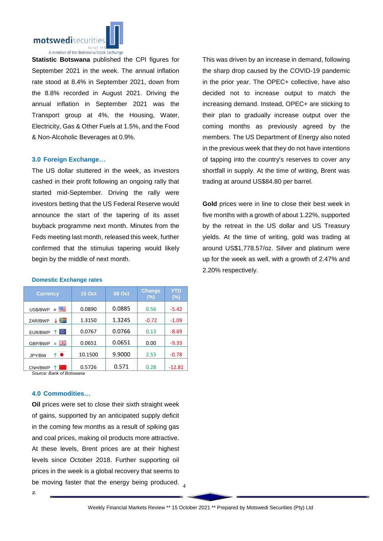

**Statistic Botswana** published the CPI figures for September 2021 in the week. The annual inflation rate stood at 8.4% in September 2021, down from the 8.8% recorded in August 2021. Driving the annual inflation in September 2021 was the Transport group at 4%, the Housing, Water, Electricity, Gas & Other Fuels at 1.5%, and the Food & Non-Alcoholic Beverages at 0.9%.

#### **3.0 Foreign Exchange…**

The US dollar stuttered in the week, as investors cashed in their profit following an ongoing rally that started mid-September. Driving the rally were investors betting that the US Federal Reserve would announce the start of the tapering of its asset buyback programme next month. Minutes from the Feds meeting last month, released this week, further confirmed that the stimulus tapering would likely begin by the middle of next month.

This was driven by an increase in demand, following the sharp drop caused by the COVID-19 pandemic in the prior year. The OPEC+ collective, have also decided not to increase output to match the increasing demand. Instead, OPEC+ are sticking to their plan to gradually increase output over the coming months as previously agreed by the members. The US Department of Energy also noted in the previous week that they do not have intentions of tapping into the country's reserves to cover any shortfall in supply. At the time of writing, Brent was trading at around US\$84.80 per barrel.

**Gold** prices were in line to close their best week in five months with a growth of about 1.22%, supported by the retreat in the US dollar and US Treasury yields. At the time of writing, gold was trading at around US\$1,778.57/oz. Silver and platinum were up for the week as well, with a growth of 2.47% and 2.20% respectively.

| <b>Currency</b>      | <b>15 Oct</b> | <b>08 Oct</b> | <b>Change</b><br>(%) | YTD<br>$(\%)$ |
|----------------------|---------------|---------------|----------------------|---------------|
| 四<br>US\$/BWP<br>$=$ | 0.0890        | 0.0885        | 0.56                 | $-5.42$       |
| ≋<br>ZAR/BWP         | 1.3150        | 1.3245        | $-0.72$              | $-1.09$       |
| Ю.<br>EUR/BWP        | 0.0767        | 0.0766        | 0.13                 | $-8.69$       |
| 즭뚡<br>GBP/BWP<br>$=$ | 0.0651        | 0.0651        | 0.00                 | $-9.33$       |
| ↑●<br>JPY/BW         | 10.1500       | 9.9000        | 2.53                 | $-0.78$       |
| CNH/BWP              | 0.5726        | 0.571         | 0.28                 | $-12.81$      |

#### **Domestic Exchange rates**

*Source: Bank of Botswana*

#### **4.0 Commodities…**

be moving faster that the energy being produced.  $_4$ **Oil** prices were set to close their sixth straight week of gains, supported by an anticipated supply deficit in the coming few months as a result of spiking gas and coal prices, making oil products more attractive. At these levels, Brent prices are at their highest levels since October 2018. Further supporting oil prices in the week is a global recovery that seems to